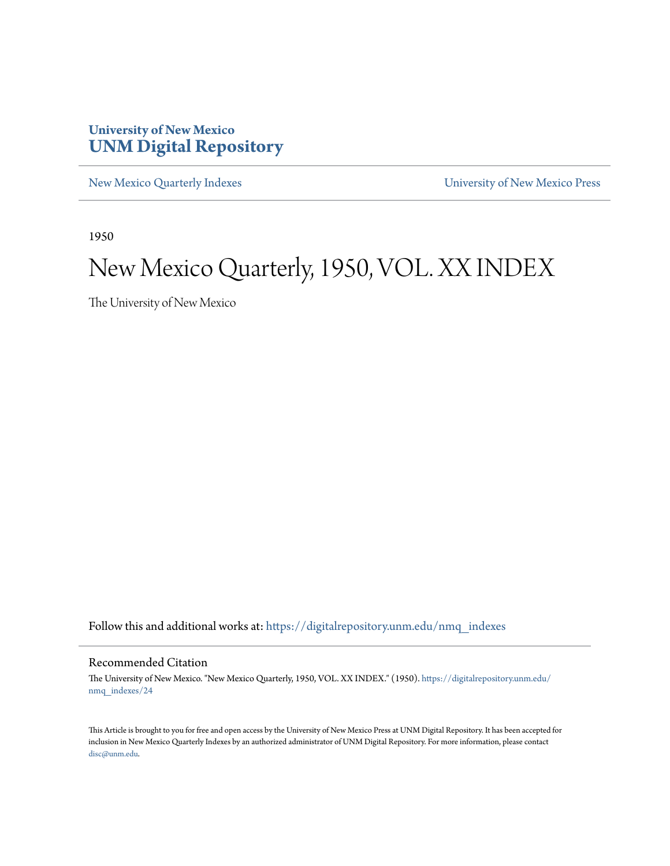#### **University of New Mexico [UNM Digital Repository](https://digitalrepository.unm.edu?utm_source=digitalrepository.unm.edu%2Fnmq_indexes%2F24&utm_medium=PDF&utm_campaign=PDFCoverPages)**

[New Mexico Quarterly Indexes](https://digitalrepository.unm.edu/nmq_indexes?utm_source=digitalrepository.unm.edu%2Fnmq_indexes%2F24&utm_medium=PDF&utm_campaign=PDFCoverPages) [University of New Mexico Press](https://digitalrepository.unm.edu/press?utm_source=digitalrepository.unm.edu%2Fnmq_indexes%2F24&utm_medium=PDF&utm_campaign=PDFCoverPages)

1950

#### New Mexico Quarterly, 1950, VOL. XX INDEX

The University of New Mexico

Follow this and additional works at: [https://digitalrepository.unm.edu/nmq\\_indexes](https://digitalrepository.unm.edu/nmq_indexes?utm_source=digitalrepository.unm.edu%2Fnmq_indexes%2F24&utm_medium=PDF&utm_campaign=PDFCoverPages)

#### Recommended Citation

The University of New Mexico. "New Mexico Quarterly, 1950, VOL. XX INDEX." (1950). [https://digitalrepository.unm.edu/](https://digitalrepository.unm.edu/nmq_indexes/24?utm_source=digitalrepository.unm.edu%2Fnmq_indexes%2F24&utm_medium=PDF&utm_campaign=PDFCoverPages) [nmq\\_indexes/24](https://digitalrepository.unm.edu/nmq_indexes/24?utm_source=digitalrepository.unm.edu%2Fnmq_indexes%2F24&utm_medium=PDF&utm_campaign=PDFCoverPages)

This Article is brought to you for free and open access by the University of New Mexico Press at UNM Digital Repository. It has been accepted for inclusion in New Mexico Quarterly Indexes by an authorized administrator of UNM Digital Repository. For more information, please contact [disc@unm.edu](mailto:disc@unm.edu).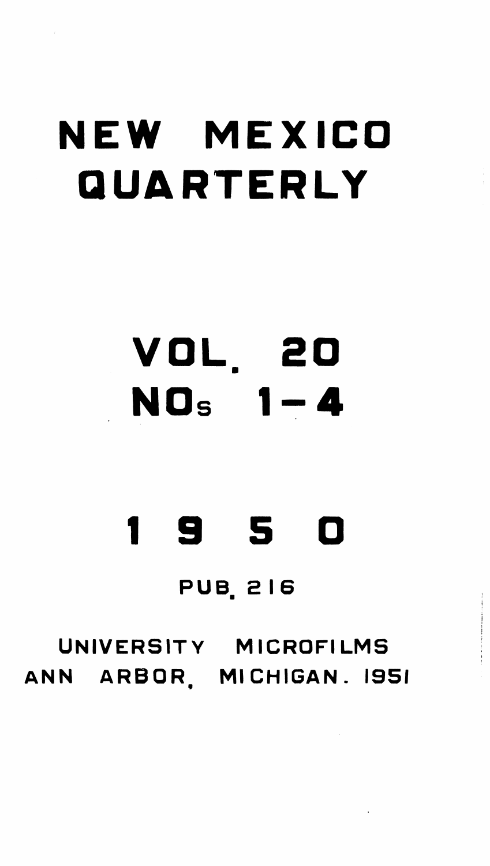# NEW MEXICO QUARTERLY

# VOL. 20 NOs

## 9 5  $\blacksquare$ PUB. 216

# UNIVERSITY MICROFILMS ANN ARBOR. MICHIGAN. 1951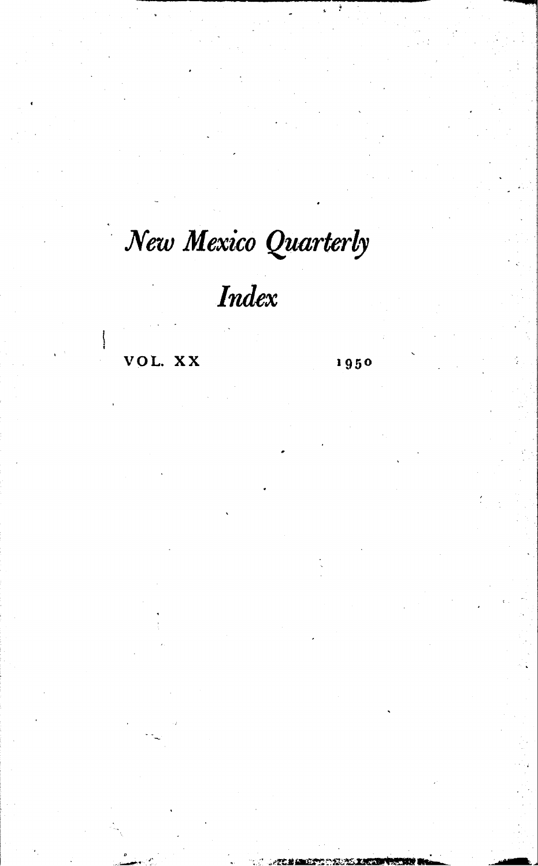### New Mexico Quarterly

### Index

VOL. XX

1950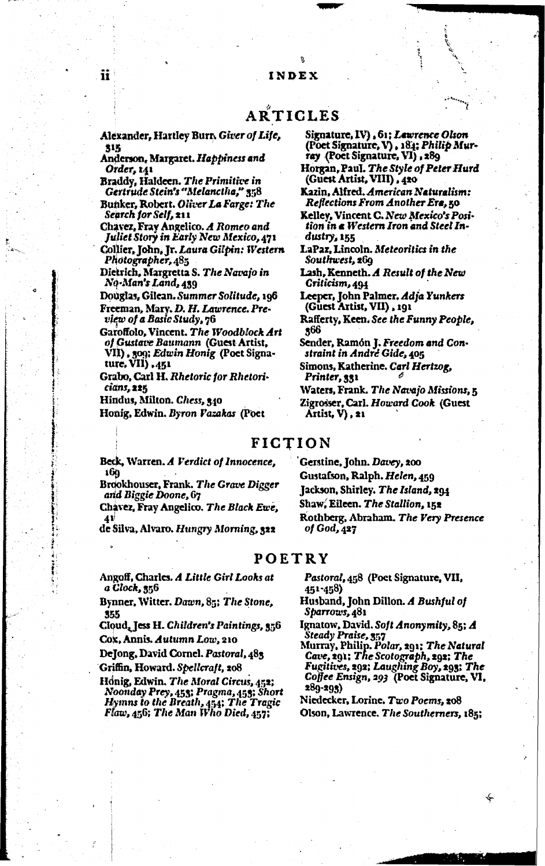#### ARTICLES

Alexander, Hartley Burr, Giver of Life, 315

Anderson, Margaret. Happiness and Order, 141

Braddy, Haldeen. The Primitive in Gertrude Stein's "Melanctha," 358

Bunker, Robert. Oliver La Farge: The Search for Self, 211

Chavez, Fray Angelico. A Romeo and Juliet Story in Early New Mexico, 471 Collier, John, Jr. Laura Gilpin: Western Photographer, 485

Dietrich, Margretta S. The Navajo in No-Man's Land, 439

Douglas, Gilean. Summer Solitude, 196 Freeman, Mary. D. H. Lawrence. Pre-

view of a Basic Study, 76

Garoffolo, Vincent, The Woodblock Art of Gustave Baumann (Guest Artist, VII), 309; Edwin Honig (Poet Signa-ture, VII), 451

Grabo, Carl H. Rhetoric for Rhetoricians, 225

Hindus, Milton. Ghess, 340

Honig, Edwin. Byron Vazakas (Poet

Signature, IV), 61; Lawrence Olson (Poet Signature, V), 184; Philip Mur-<br>ray (Poet Signature, VI), 189

Horgan, Paul. The Style of Peter Hurd<br>(Guest Artist, VIII), 420

Kazin, Alfred. American Naturalism: Reflections From Another Ere, 50

Kelley, Vincent C. New Mexico's Position in a Western Iron and Steel Industry, 155

LaPaz, Lincoln. Meteoritics in the Southwest, 269

Lash, Kenneth. A Result of the New Criticism, 494

Leeper, John Palmer, Adja Yunkers (Guest Artist, VII), 191

Rafferty, Keen. See the Funny People, 366

Sender, Ramón J. Freedom and Constraint in Andre Gide, 405

Simons, Katherine. Carl Hertzog, Printer, 331

Waters, Frank. The Navajo Missions, 5 Zigrosser, Carl. Howard Cook (Guest  $\overline{\text{Artist}}$ ,  $V$ ),  $x_1$ 

#### FICTION

Beck, Warren. A Verdict of Innocence, 169

Brookhouser, Frank. The Grave Digger and Biggie Doone, 67

Chavez, Fray Angelico. The Black Ewe, 41

de Silva, Alvaro. Hungry Morning, 322

Gerstine, John. Davey, 200 Gustafson, Ralph. Helen, 459 Jackson, Shirley. The Island, 294 Shaw, Eileen. The Stallion, 152 Rothberg, Abraham. The Very Presence of  $God$ ,  $427$ 

#### POETRY

Angoff, Charles. A Little Girl Looks at a Clock, 356

Bynner, Witter. Dawn, 85; The Stone, 355

Cloud, Jess H. Children's Paintings, 356

Cox, Annis. Autumn Low, 210

DeJong, David Cornel. Pastoral, 483

Griffin, Howard. Spellcraft, 208

Honig, Edwin. The Moral Circus, 452; Noonday Prey, 453; Pragma, 453; Short Hymns to the Breath, 454; The Tragic<br>Flaw, 456; The Man Who Died, 457;

Pastoral, 458 (Poet Signature, VII, 451-458)

- Husband, John Dillon. A Bushful of Sparrows, 481
- Ignatow, David. Soft Anonymity, 85; A Steady Praise, 357<br>Murray, Philip. Polar, 291; The Natural
- Cave, 291; The Scotograph, 292; The Fugitives, 292; Laughing Boy, 293; The Coffee Ensign, 293 (Poet Signature, VI, 289-293)

Niedecker, Lorine. Two Poems, 208 Olson, Lawrence. The Southerners, 185;

ii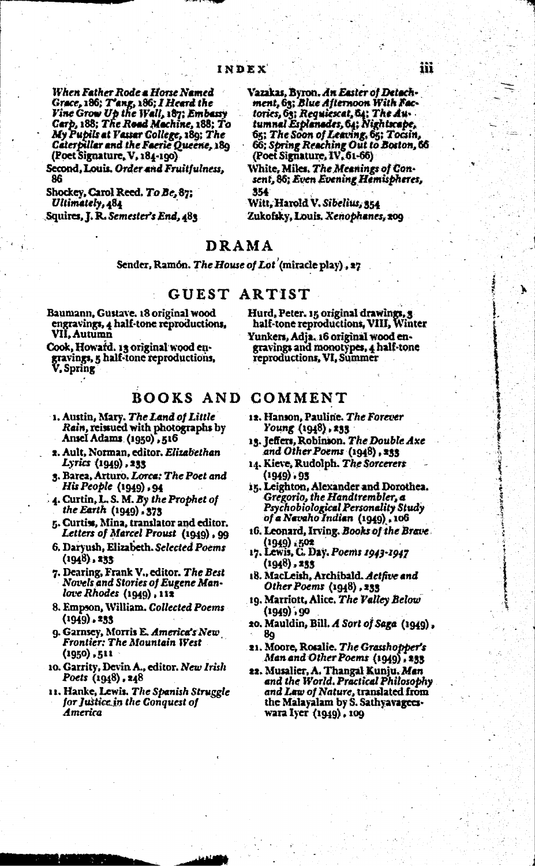When Father Rode a Horse Named Grace, 186; T'ang, 186; I Heard the<br>Vine Grow Up the Wall, 187; Embassy Carp, 188; The Road Machine, 188; To My Pupils at Vassar College, 189; The Caterpillar and the Faerie Queene, 189 (Poet Signature, V, 184-190)

Second, Louis. Order and Fruitfulness, 86

Shockey, Carol Reed. To Be, 87; Ultimately, 484

Squires, J. R. Semester's End, 483

Vazakas, Byron. An Easter of Detachment, 63; Blue Afternoon With Factories, 63; Requiescat, 64; The Au-<br>tumnal Esplanades, 64; Nightscape, 65; The Soon of Leaving, 65; Tocsin, 66; Spring Reaching Out to Boston, 66 (Poet Signature, IV, 61-66)

White, Miles. The Meanings of Consent, 86; Even Evening Hemispheres, 354

Witt, Harold V. Sibelius, 354 Zukofsky, Louis, Xenophanes, 209

#### DRAMA

Sender, Ramon. The House of Lot (miracle play), 27

#### **GUEST** ARTIST

- Baumann, Gustave. 18 original wood engravings, 4 half-tone reproductions, VII. Autumn
- Cook, Howard. 13 original wood engravings, 5 half-tone reproductions,

#### **BOOKS AND COMMENT**

- 1. Austin, Mary. The Land of Little Rain, reissued with photographs by Ansel Adams (1950) , 516
- 2. Ault, Norman, editor. Elizabethan Lyrics (1949) , 233
- 3. Barea, Arturo. Lorca: The Poet and His People (1949) , 94
- 4. Curtin, L. S. M. By the Prophet of the Earth (1949) - 373
- 5. Curtiss, Mina, translator and editor. Letters of Marcel Proust (1949), 99
- 6. Daryush, Elizabeth. Selected Poems  $(1948)$ , 233
- 7. Dearing, Frank V., editor. The Best Novels and Stories of Eugene Manlove Rhodes (1949), 112
- 8. Empson, William. Collected Poems  $(1949)$ , 233
- 9. Garnsey, Morris E. America's New **Frontier: The Mountain West** (1950) , 511
- 10. Garrity, Devin A., editor. New Irish Poets (1948), 248
- 11. Hanke, Lewis. The Spanish Struggle for Justice in the Conquest of America

Hurd, Peter. 15 original drawings, 3<br>half-tone reproductions, VIII, Winter Yunkers, Adja. 16 original wood engravings and monotypes, 4 half-tone reproductions, VI, Summer

- 12. Hanson, Pauline. The Forever Young (1948), 233
- 13. Jeffers, Robinson. The Double Axe and Other Poems (1948), 233
- 14. Kieve, Rudolph. The Sorcerers (1949) - 95
- 15. Leighton, Alexander and Dorothea. Gregorio, the Handtrembler, a Psychobiological Personality Study of a Navaho Indian (1949), 106
- 16. Leonard, Irving. Books of the Brave (1949) : 502
- 17. Lewis, C. Day. Poems 1943-1947  $(1948)$ , 233
- 18. MacLeish, Archibald. Actfive and Other Poems (1948) , 233
- 19. Marriott, Alice. The Valley Below (1949) , 90
- 20. Mauldin, Bill. A Sort of Saga (1949), 89
- 21. Moore, Rosalie. The Grasshopper's Man and Other Poems (1949), 233
- 22. Musalier, A. Thangal Kunju. Men and the World. Practical Philosophy and Law of Nature, translated from<br>the Malayalam by S. Sathyavageeswara Iyer (1949), 109

λ